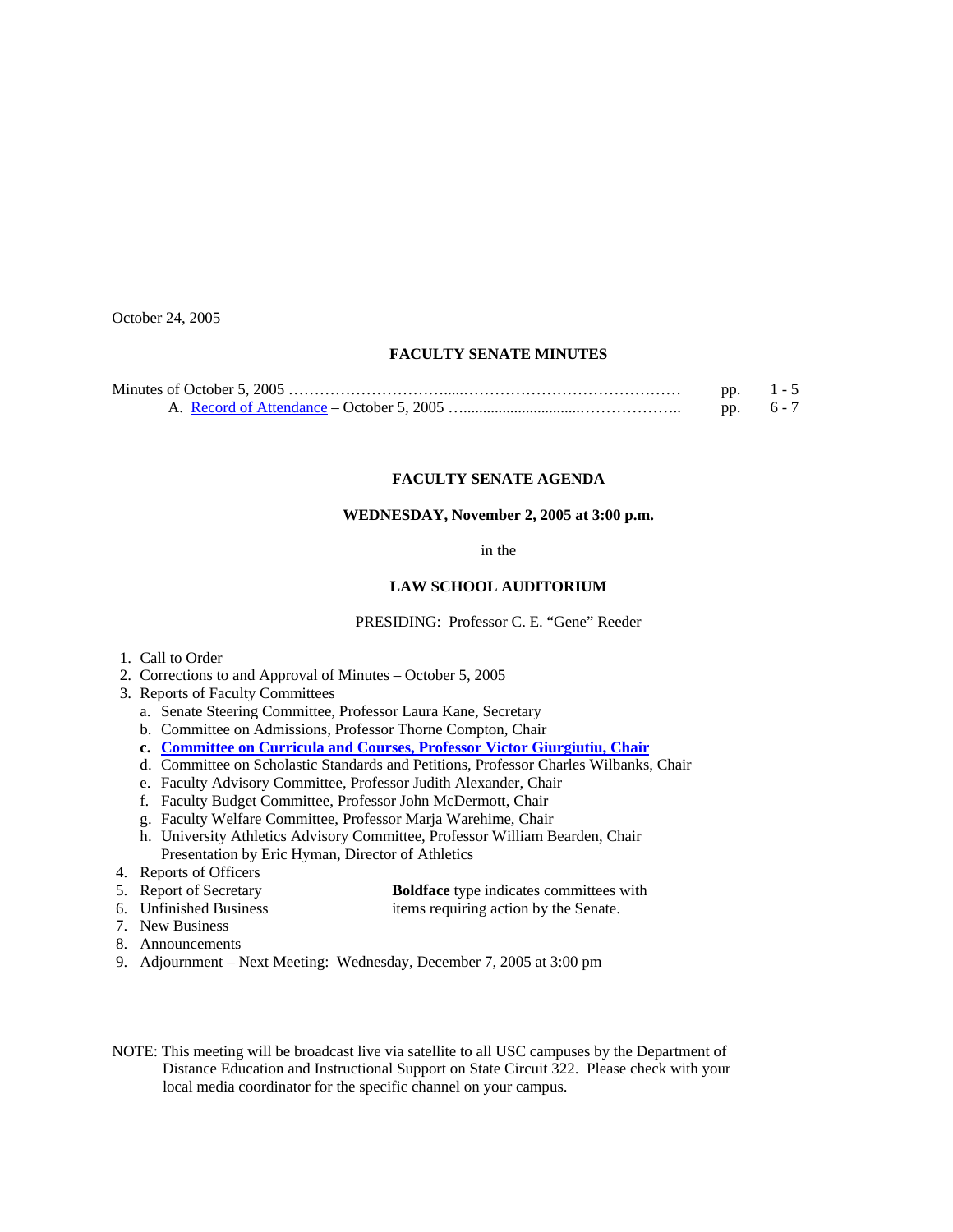October 24, 2005

# **FACULTY SENATE MINUTES**

| pp. | $1 - 5$ |
|-----|---------|
| DD. | $6 - 7$ |

### **FACULTY SENATE AGENDA**

### **WEDNESDAY, November 2, 2005 at 3:00 p.m.**

in the

# **LAW SCHOOL AUDITORIUM**

PRESIDING: Professor C. E. "Gene" Reeder

- 1. Call to Order
- 2. Corrections to and Approval of Minutes October 5, 2005
- 3. Reports of Faculty Committees
	- a. Senate Steering Committee, Professor Laura Kane, Secretary
	- b. Committee on Admissions, Professor Thorne Compton, Chair
	- **c. [Committee on Curricula and Courses, Professor Victor Giurgiutiu, Chair](http://www.sc.edu/faculty/senate/05/agenda/1102.cc.pdf)**
	- d. Committee on Scholastic Standards and Petitions, Professor Charles Wilbanks, Chair
	- e. Faculty Advisory Committee, Professor Judith Alexander, Chair
	- f. Faculty Budget Committee, Professor John McDermott, Chair
	- g. Faculty Welfare Committee, Professor Marja Warehime, Chair
	- h. University Athletics Advisory Committee, Professor William Bearden, Chair Presentation by Eric Hyman, Director of Athletics
- 4. Reports of Officers
- 5. Report of Secretary **Boldface** type indicates committees with
- 6. Unfinished Business items requiring action by the Senate.
- 7. New Business
- 8. Announcements
- 9. Adjournment Next Meeting: Wednesday, December 7, 2005 at 3:00 pm
- NOTE: This meeting will be broadcast live via satellite to all USC campuses by the Department of Distance Education and Instructional Support on State Circuit 322. Please check with your local media coordinator for the specific channel on your campus.